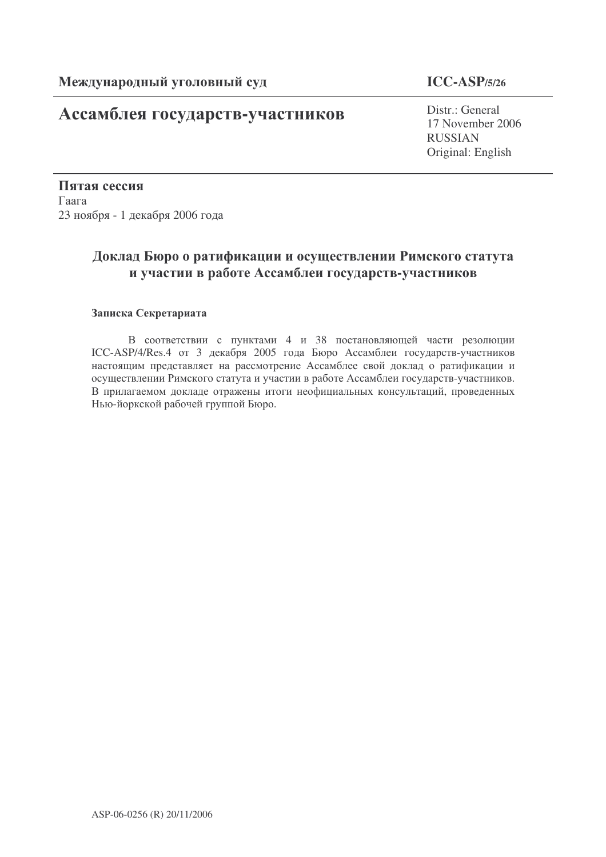# Ассамблея государств-участников

## **ICC-ASP/5/26**

Distr.: General 17 November 2006 RUSSIAN Original: English

Пятая сессия  $\Gamma$ аага 23 ноября - 1 декабря 2006 года

# Доклад Бюро о ратификации и осуществлении Римского статута и участии в работе Ассамблеи государств-участников

### Записка Секретариата

В соответствии с пунктами 4 и 38 постановляющей части резолюции ICC-ASP/4/Res.4 от 3 декабря 2005 года Бюро Ассамблеи государств-участников настоящим представляет на рассмотрение Ассамблее свой доклад о ратификации и осуществлении Римского статута и участии в работе Ассамблеи государств-участников. В прилагаемом докладе отражены итоги неофициальных консультаций, проведенных Нью-йоркской рабочей группой Бюро.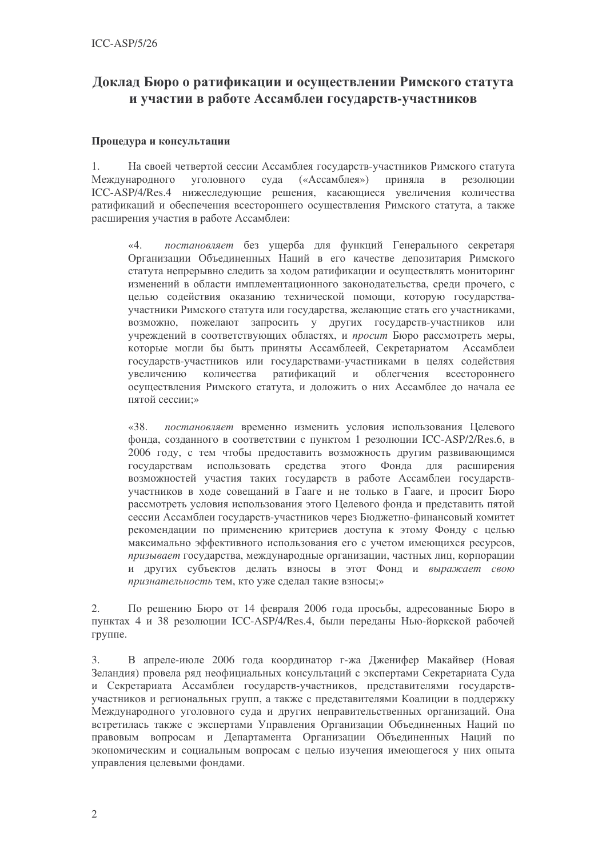### Доклад Бюро о ратификации и осуществлении Римского статута и участии в работе Ассамблеи государств-участников

### Процедура и консультации

На своей четвертой сессии Ассамблея государств-участников Римского статута  $1.$ **VTOЛOBHOTO** суда («Ассамблея») приняла в Межлунаролного резолюции ICC-ASP/4/Res.4 нижеследующие решения, касающиеся увеличения количества ратификаций и обеспечения всестороннего осуществления Римского статута, а также расширения участия в работе Ассамблеи:

постановляет без ущерба для функций Генерального секретаря  $\langle 4.$ Организации Объединенных Наций в его качестве депозитария Римского статута непрерывно следить за ходом ратификации и осуществлять мониторинг изменений в области имплементационного законодательства, среди прочего, с целью содействия оказанию технической помощи, которую государстваучастники Римского статута или государства, желающие стать его участниками, возможно, пожелают запросить у других государств-участников или учреждений в соответствующих областях, и просит Бюро рассмотреть меры, которые могли бы быть приняты Ассамблеей, Секретариатом Ассамблеи государств-участников или государствами-участниками в целях содействия увеличению количества ратификаний и облегчения всестороннего осуществления Римского статута, и доложить о них Ассамблее до начала ее пятой сессии:»

 $\&38.$ постановляет временно изменить условия использования Целевого фонда, созданного в соответствии с пунктом 1 резолюции ICC-ASP/2/Res.6, в 2006 году, с тем чтобы предоставить возможность другим развивающимся государствам использовать средства этого Фонда для расширения возможностей участия таких государств в работе Ассамблеи государствучастников в ходе совещаний в Гааге и не только в Гааге, и просит Бюро рассмотреть условия использования этого Целевого фонда и представить пятой сессии Ассамблеи государств-участников через Бюджетно-финансовый комитет рекомендации по применению критериев доступа к этому Фонду с целью максимально эффективного использования его с учетом имеющихся ресурсов, призывает государства, международные организации, частных лиц, корпорации и других субъектов делать взносы в этот Фонд и выражает свою признательность тем, кто уже сделал такие взносы;»

По решению Бюро от 14 февраля 2006 года просьбы, адресованные Бюро в  $2.$ пунктах 4 и 38 резолюции ICC-ASP/4/Res.4, были переданы Нью-йоркской рабочей группе.

 $3.$ В апреле-июле 2006 года координатор г-жа Дженифер Макайвер (Новая Зеландия) провела ряд неофициальных консультаций с экспертами Секретариата Суда и Секретариата Ассамблеи государств-участников, представителями государствучастников и региональных групп, а также с представителями Коалиции в поддержку Международного уголовного суда и других неправительственных организаций. Она встретилась также с экспертами Управления Организации Объединенных Наций по правовым вопросам и Департамента Организации Объединенных Наций по экономическим и социальным вопросам с целью изучения имеющегося у них опыта управления целевыми фондами.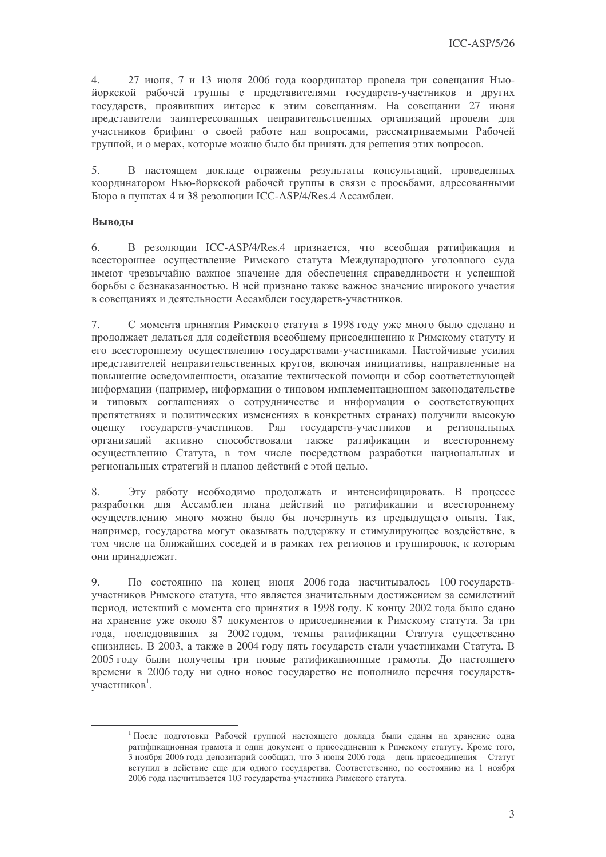$4.$ 27 июня, 7 и 13 июля 2006 года координатор провела три совещания Ньюйоркской рабочей группы с представителями государств-участников и других государств, проявивших интерес к этим совещаниям. На совещании 27 июня представители заинтересованных неправительственных организаций провели для участников брифинг о своей работе над вопросами, рассматриваемыми Рабочей группой, и о мерах, которые можно было бы принять для решения этих вопросов.

 $5.$ В настоящем докладе отражены результаты консультаций, проведенных координатором Нью-йоркской рабочей группы в связи с просьбами, адресованными Бюро в пунктах 4 и 38 резолюции ICC-ASP/4/Res.4 Ассамблеи.

#### Выволы

В резолюции ICC-ASP/4/Res.4 признается, что всеобщая ратификация и 6. всестороннее осуществление Римского статута Международного уголовного суда имеют чрезвычайно важное значение для обеспечения справедливости и успешной борьбы с безнаказанностью. В ней признано также важное значение широкого участия в совешаниях и деятельности Ассамблеи государств-участников.

7. С момента принятия Римского статута в 1998 году уже много было сделано и продолжает делаться для содействия всеобщему присоединению к Римскому статуту и его всестороннему осуществлению государствами-участниками. Настойчивые усилия представителей неправительственных кругов, включая инициативы, направленные на повышение осведомленности, оказание технической помощи и сбор соответствующей информации (например, информации о типовом имплементационном законолательстве и типовых соглашениях о сотрудничестве и информации о соответствующих препятствиях и политических изменениях в конкретных странах) получили высокую оценку государств-участников. Ряд государств-участников  $\,$   $\,$   $\,$   $\,$ региональных организаций активно способствовали также ратификации и всестороннему осуществлению Статута, в том числе посредством разработки национальных и региональных стратегий и планов действий с этой целью.

8. Эту работу необходимо продолжать и интенсифицировать. В процессе разработки для Ассамблеи плана действий по ратификации и всестороннему осуществлению много можно было бы почерпнуть из предыдущего опыта. Так, например, государства могут оказывать поддержку и стимулирующее воздействие, в том числе на ближайших соседей и в рамках тех регионов и группировок, к которым они принадлежат.

По состоянию на конец июня 2006 года насчитывалось 100 государств-9. участников Римского статута, что является значительным достижением за семилетний период, истекший с момента его принятия в 1998 году. К концу 2002 года было сдано на хранение уже около 87 документов о присоединении к Римскому статута. За три года, последовавших за 2002 годом, темпы ратификации Статута существенно снизились. В 2003, а также в 2004 году пять государств стали участниками Статута. В 2005 году были получены три новые ратификационные грамоты. До настоящего времени в 2006 году ни одно новое государство не пополнило перечня государствучастников<sup>1</sup>.

<sup>1</sup> После подготовки Рабочей группой настоящего доклада были сданы на хранение одна ратификационная грамота и один документ о присоединении к Римскому статуту. Кроме того, 3 ноября 2006 года депозитарий сообщил, что 3 июня 2006 года - день присоединения - Статут вступил в действие еще для одного государства. Соответственно, по состоянию на 1 ноября 2006 года насчитывается 103 государства-участника Римского статута.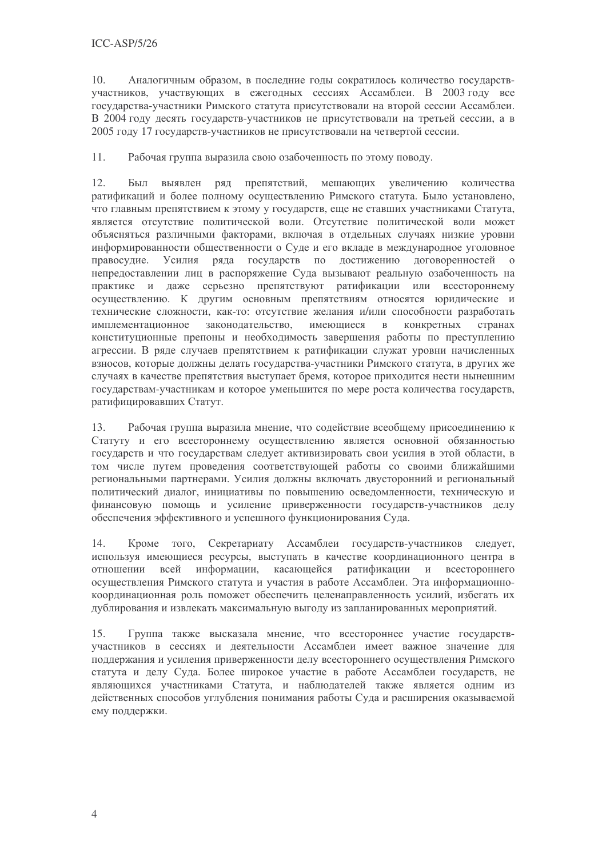10. Аналогичным образом, в последние годы сократилось количество государствучастников, участвующих в ежегодных сессиях Ассамблеи. В 2003 году все государства-участники Римского статута присутствовали на второй сессии Ассамблеи. В 2004 году десять государств-участников не присутствовали на третьей сессии, а в 2005 году 17 государств-участников не присутствовали на четвертой сессии.

 $11.$ Рабочая группа выразила свою озабоченность по этому поводу.

12. Был выявлен ряд препятствий, мешающих увеличению количества ратификаций и более полному осуществлению Римского статута. Было установлено, что главным препятствием к этому у государств, еще не ставших участниками Статута, является отсутствие политической воли. Отсутствие политической воли может объясняться различными факторами, включая в отдельных случаях низкие уровни информированности общественности о Суде и его вкладе в международное уголовное правосудие. Усилия ряда государств по достижению договоренностей  $\overline{0}$ непредоставлении лиц в распоряжение Суда вызывают реальную озабоченность на практике и даже серьезно препятствуют ратификации или всестороннему осуществлению. К другим основным препятствиям относятся юридические и технические сложности, как-то: отсутствие желания и/или способности разработать имплементационное законодательство, имеющиеся  $\,$  B  $\,$ конкретных странах конституционные препоны и необходимость завершения работы по преступлению агрессии. В ряде случаев препятствием к ратификации служат уровни начисленных взносов, которые должны делать государства-участники Римского статута, в других же случаях в качестве препятствия выступает бремя, которое приходится нести нынешним государствам-участникам и которое уменьшится по мере роста количества государств. ратифицировавших Статут.

 $13.$ Рабочая группа выразила мнение, что содействие всеобщему присоединению к Статуту и его всестороннему осуществлению является основной обязанностью государств и что государствам следует активизировать свои усилия в этой области, в том числе путем проведения соответствующей работы со своими ближайшими региональными партнерами. Усилия должны включать двусторонний и региональный политический диалог, инициативы по повышению осведомленности, техническую и финансовую помощь и усиление приверженности государств-участников делу обеспечения эффективного и успешного функционирования Суда.

Кроме того, Секретариату Ассамблеи государств-участников следует, 14. используя имеющиеся ресурсы, выступать в качестве координационного центра в отношении всей информации, касающейся ратификации и всестороннего осуществления Римского статута и участия в работе Ассамблеи. Эта информационнокоординационная роль поможет обеспечить целенаправленность усилий, избегать их дублирования и извлекать максимальную выгоду из запланированных мероприятий.

 $15.$ Группа также высказала мнение, что всестороннее участие государствучастников в сессиях и деятельности Ассамблеи имеет важное значение для поддержания и усиления приверженности делу всестороннего осуществления Римского статута и делу Суда. Более широкое участие в работе Ассамблеи государств, не являющихся участниками Статута, и наблюдателей также является одним из лейственных способов углубления понимания работы Суда и расширения оказываемой ему поддержки.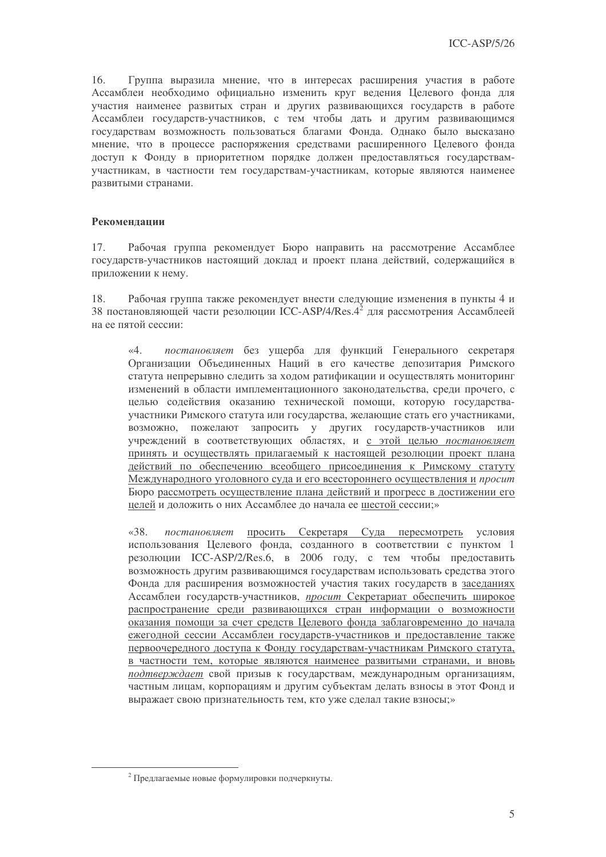16. Группа выразила мнение, что в интересах расширения участия в работе Ассамблеи необходимо официально изменить круг ведения Целевого фонда для участия наименее развитых стран и других развивающихся государств в работе Ассамблеи государств-участников, с тем чтобы дать и другим развивающимся государствам возможность пользоваться благами Фонда. Однако было высказано мнение, что в процессе распоряжения средствами расширенного Целевого фонда доступ к Фонду в приоритетном порядке должен предоставляться государствамучастникам, в частности тем государствам-участникам, которые являются наименее развитыми странами.

#### Рекоменляции

17. Рабочая группа рекомендует Бюро направить на рассмотрение Ассамблее государств-участников настоящий доклад и проект плана действий, содержащийся в приложении к нему.

Рабочая группа также рекомендует внести следующие изменения в пункты 4 и 18 38 постановляющей части резолюции ICC-ASP/4/Res.4<sup>2</sup> для рассмотрения Ассамблеей на ее пятой сессии:

постановляет без ущерба для функций Генерального секретаря  $u\Delta$ Организации Объединенных Наций в его качестве депозитария Римского статута непрерывно следить за ходом ратификации и осуществлять мониторинг изменений в области имплементационного законодательства, среди прочего, с целью содействия оказанию технической помощи, которую государстваучастники Римского статута или государства, желающие стать его участниками, возможно, пожелают запросить у других государств-участников или учреждений в соответствующих областях, и с этой целью постановляет принять и осуществлять прилагаемый к настоящей резолюции проект плана действий по обеспечению всеобщего присоединения к Римскому статуту Международного уголовного суда и его всестороннего осуществления и просит Бюро рассмотреть осуществление плана действий и прогресс в достижении его целей и доложить о них Ассамблее до начала ее шестой сессии;»

 $\&38.$ постановляет просить Секретаря Суда пересмотреть условия использования Целевого фонда, созданного в соответствии с пунктом 1 резолюции ICC-ASP/2/Res.6, в 2006 году, с тем чтобы предоставить возможность другим развивающимся государствам использовать средства этого Фонда для расширения возможностей участия таких государств в заседаниях Ассамблеи государств-участников, просит Секретариат обеспечить широкое распространение среди развивающихся стран информации о возможности оказания помощи за счет средств Целевого фонда заблаговременно до начала ежегодной сессии Ассамблеи государств-участников и предоставление также первоочередного доступа к Фонду государствам-участникам Римского статута, в частности тем, которые являются наименее развитыми странами, и вновь подтверждает свой призыв к государствам, международным организациям, частным лицам, корпорациям и другим субъектам делать взносы в этот Фонд и выражает свою признательность тем, кто уже сделал такие взносы;»

<sup>&</sup>lt;sup>2</sup> Предлагаемые новые формулировки подчеркнуты.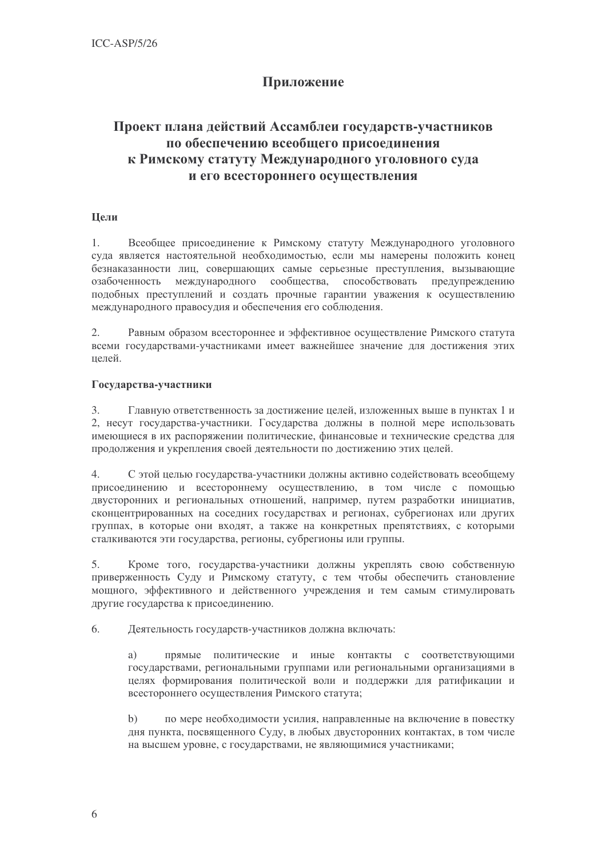### Приложение

# Проект плана действий Ассамблеи государств-участников по обеспечению всеобщего присоединения к Римскому статуту Международного уголовного суда и его всестороннего осуществления

### Цели

 $\mathbf{1}$ . Всеобщее присоединение к Римскому статуту Международного уголовного суда является настоятельной необходимостью, если мы намерены положить конец безнаказанности лиц, совершающих самые серьезные преступления, вызывающие озабоченность международного сообщества, способствовать предупреждению подобных преступлений и создать прочные гарантии уважения к осуществлению международного правосудия и обеспечения его соблюдения.

 $2.$ Равным образом всестороннее и эффективное осуществление Римского статута всеми государствами-участниками имеет важнейшее значение для достижения этих целей.

#### Государства-участники

 $3.$ Главную ответственность за достижение целей, изложенных выше в пунктах 1 и 2, несут государства-участники. Государства должны в полной мере использовать имеющиеся в их распоряжении политические, финансовые и технические средства для продолжения и укрепления своей деятельности по достижению этих целей.

С этой целью государства-участники должны активно содействовать всеобшему  $\overline{4}$ . присоединению и всестороннему осуществлению, в том числе с помощью двусторонних и региональных отношений, например, путем разработки инициатив, сконцентрированных на соседних государствах и регионах, субрегионах или других группах, в которые они входят, а также на конкретных препятствиях, с которыми сталкиваются эти государства, регионы, субрегионы или группы.

Кроме того, государства-участники должны укреплять свою собственную  $5<sub>1</sub>$ приверженность Суду и Римскому статуту, с тем чтобы обеспечить становление мощного, эффективного и действенного учреждения и тем самым стимулировать другие государства к присоединению.

6. Деятельность государств-участников должна включать:

> прямые политические и иные контакты с соответствующими a) государствами, региональными группами или региональными организациями в целях формирования политической воли и поддержки для ратификации и всестороннего осуществления Римского статута;

> $b)$ по мере необходимости усилия, направленные на включение в повестку дня пункта, посвященного Суду, в любых двусторонних контактах, в том числе на высшем уровне, с государствами, не являющимися участниками;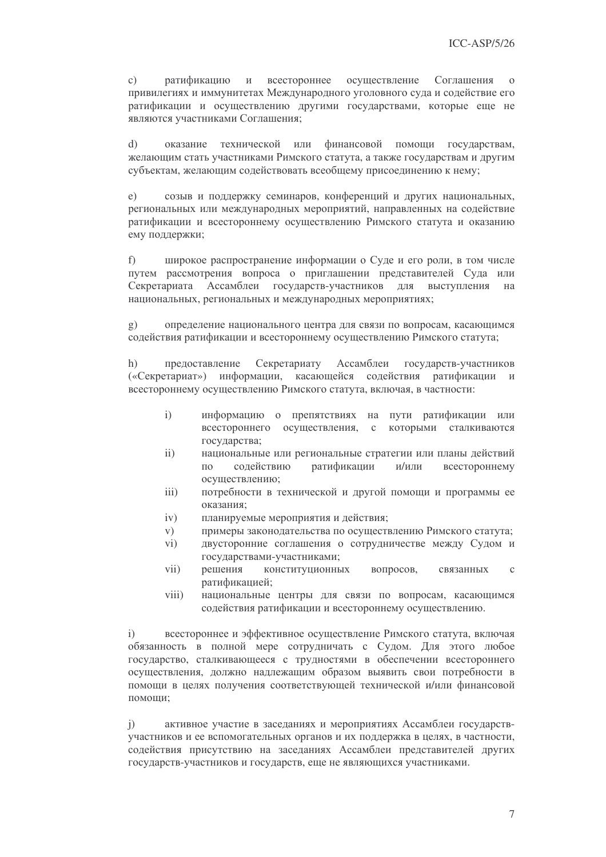ратификацию  $\,$   $\,$   $\,$   $\,$ всестороннее осуществление Соглашения  $c)$  $\mathbf{o}$ привилегиях и иммунитетах Международного уголовного суда и содействие его ратификации и осуществлению другими государствами, которые еще не являются участниками Соглашения;

 $\mathrm{d}$ оказание технической или финансовой помощи государствам, желающим стать участниками Римского статута, а также государствам и другим субъектам, желающим содействовать всеобщему присоединению к нему;

созыв и поддержку семинаров, конференций и других национальных,  $e)$ региональных или международных мероприятий, направленных на содействие ратификации и всестороннему осуществлению Римского статута и оказанию ему поддержки;

 $f$ ) широкое распространение информации о Суде и его роли, в том числе путем рассмотрения вопроса о приглашении представителей Суда или Секретариата Ассамблеи государств-участников для выступления на национальных, региональных и международных мероприятиях;

определение национального центра для связи по вопросам, касающимся  $\mathbf{g}$ ) содействия ратификации и всестороннему осуществлению Римского статута;

 $h)$ предоставление Секретариату Ассамблеи государств-участников («Секретариат») информации, касающейся содействия ратификации и всестороннему осуществлению Римского статута, включая, в частности:

- информацию о препятствиях на пути ратификации или  $\mathbf{i}$ всестороннего осуществления, с которыми сталкиваются государства;
- $\overline{ii}$ ) национальные или региональные стратегии или планы действий солействию ратификации и/или всестороннему  $\overline{10}$ осушествлению:
- $\overline{111}$ потребности в технической и другой помоши и программы ее оказания:
- $iv)$ планируемые мероприятия и действия;
- примеры законодательства по осуществлению Римского статута;  $V)$
- двусторонние соглашения о сотрудничестве между Судом и  $\overline{vi}$ государствами-участниками;
- $vii)$ решения конституционных вопросов, связанных  $\mathcal{C}$ ратификацией;
- $viii)$ национальные центры для связи по вопросам, касающимся содействия ратификации и всестороннему осуществлению.

всестороннее и эффективное осуществление Римского статута, включая  $\mathbf{i}$ обязанность в полной мере сотрудничать с Судом. Для этого любое государство, сталкивающееся с трудностями в обеспечении всестороннего осуществления, должно надлежащим образом выявить свои потребности в помощи в целях получения соответствующей технической и/или финансовой помоши·

активное участие в заседаниях и мероприятиях Ассамблеи государств- $\mathbf{i}$ участников и ее вспомогательных органов и их поддержка в целях, в частности, содействия присутствию на заседаниях Ассамблеи представителей других государств-участников и государств, еще не являющихся участниками.